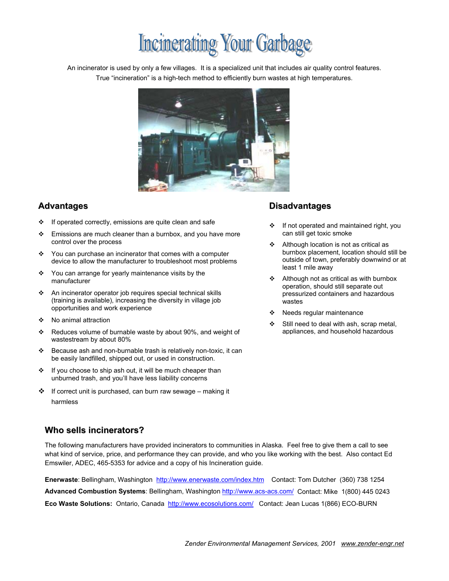# **Incinerating Your Garbage**

An incinerator is used by only a few villages. It is a specialized unit that includes air quality control features. True "incineration" is a high-tech method to efficiently burn wastes at high temperatures.



- ❖ If operated correctly, emissions are quite clean and safe
- $\div$  Emissions are much cleaner than a burnbox, and you have more control over the process
- ❖ You can purchase an incinerator that comes with a computer device to allow the manufacturer to troubleshoot most problems
- $\div$  You can arrange for yearly maintenance visits by the manufacturer
- An incinerator operator job requires special technical skills (training is available), increasing the diversity in village job opportunities and work experience
- ❖ No animal attraction
- Reduces volume of burnable waste by about 90%, and weight of wastestream by about 80%
- Because ash and non-burnable trash is relatively non-toxic, it can be easily landfilled, shipped out, or used in construction.
- $\div$  If you choose to ship ash out, it will be much cheaper than unburned trash, and you'll have less liability concerns
- $\clubsuit$  If correct unit is purchased, can burn raw sewage making it harmless

### **Advantages Disadvantages**

- ❖ If not operated and maintained right, you can still get toxic smoke
- Although location is not as critical as burnbox placement, location should still be outside of town, preferably downwind or at least 1 mile away
- Although not as critical as with burnbox operation, should still separate out pressurized containers and hazardous wastes
- Needs regular maintenance
- Still need to deal with ash, scrap metal, appliances, and household hazardous

### **Who sells incinerators?**

The following manufacturers have provided incinerators to communities in Alaska. Feel free to give them a call to see what kind of service, price, and performance they can provide, and who you like working with the best. Also contact Ed Emswiler, ADEC, 465-5353 for advice and a copy of his Incineration guide.

**Enerwaste**: Bellingham, Washington http://www.enerwaste.com/index.htm Contact: Tom Dutcher (360) 738 1254 **Advanced Combustion Systems**: Bellingham, Washington http://www.acs-acs.com/ Contact: Mike 1(800) 445 0243 **Eco Waste Solutions:** Ontario, Canada http://www.ecosolutions.com/ Contact: Jean Lucas 1(866) ECO-BURN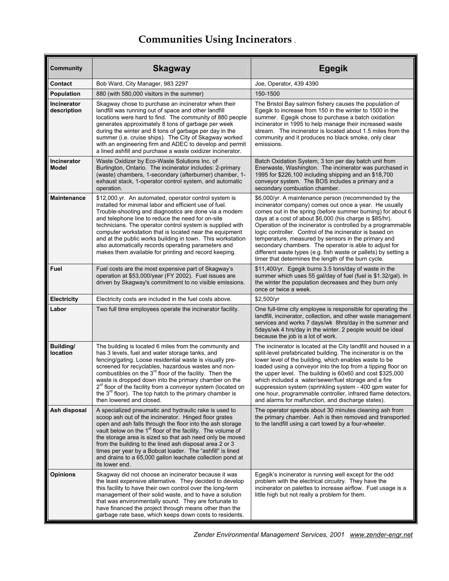# **Communities Using Incinerators** .

| Community                          | <b>Skagway</b>                                                                                                                                                                                                                                                                                                                                                                                                                                                                                                                      | <b>Egegik</b>                                                                                                                                                                                                                                                                                                                                                                                                                                                                                                                                                                                                    |
|------------------------------------|-------------------------------------------------------------------------------------------------------------------------------------------------------------------------------------------------------------------------------------------------------------------------------------------------------------------------------------------------------------------------------------------------------------------------------------------------------------------------------------------------------------------------------------|------------------------------------------------------------------------------------------------------------------------------------------------------------------------------------------------------------------------------------------------------------------------------------------------------------------------------------------------------------------------------------------------------------------------------------------------------------------------------------------------------------------------------------------------------------------------------------------------------------------|
| Contact                            | Bob Ward, City Manager, 983 2297                                                                                                                                                                                                                                                                                                                                                                                                                                                                                                    | Joe, Operator, 439 4390                                                                                                                                                                                                                                                                                                                                                                                                                                                                                                                                                                                          |
| <b>Population</b>                  | 880 (with 580,000 visitors in the summer)                                                                                                                                                                                                                                                                                                                                                                                                                                                                                           | 150-1500                                                                                                                                                                                                                                                                                                                                                                                                                                                                                                                                                                                                         |
| Incinerator<br>description         | Skagway chose to purchase an incinerator when their<br>landfill was running out of space and other landfill<br>locations were hard to find. The community of 880 people<br>generates approximately 8 tons of garbage per week<br>during the winter and 8 tons of garbage per day in the<br>summer (i.e. cruise ships). The City of Skagway worked<br>with an engineering firm and ADEC to develop and permit<br>a lined ashfill and purchase a waste oxidizer incinerator.                                                          | The Bristol Bay salmon fishery causes the population of<br>Eqeqik to increase from 150 in the winter to 1500 in the<br>summer. Egegik chose to purchase a batch oxidation<br>incinerator in 1995 to help manage their increased waste<br>stream. The incinerator is located about 1.5 miles from the<br>community and it produces no black smoke, only clear<br>emissions.                                                                                                                                                                                                                                       |
| <b>Incinerator</b><br><b>Model</b> | Waste Oxidizer by Eco-Waste Solutions Inc. of<br>Burlington, Ontario. The incinerator includes: 2-primary<br>(waste) chambers, 1-secondary (afterburner) chamber, 1-<br>exhaust stack, 1-operator control system, and automatic<br>operation.                                                                                                                                                                                                                                                                                       | Batch Oxidation System, 3 ton per day batch unit from<br>Enerwaste, Washington. The incinerator was purchased in<br>1995 for \$226,100 including shipping and an \$18,700<br>conveyor system. The BOS includes a primary and a<br>secondary combustion chamber.                                                                                                                                                                                                                                                                                                                                                  |
| <b>Maintenance</b>                 | \$12,000 yr. An automated, operator control system is<br>installed for minimal labor and efficient use of fuel.<br>Trouble-shooting and diagnostics are done via a modem<br>and telephone line to reduce the need for on-site<br>technicians. The operator control system is supplied with<br>computer workstation that is located near the equipment<br>and at the public works building in town. This workstation<br>also automatically records operating parameters and<br>makes them available for printing and record keeping. | \$6,000/yr. A maintenance person (recommended by the<br>incinerator company) comes out once a year. He usually<br>comes out in the spring (before summer burning) for about 6<br>days at a cost of about \$6,000 (his charge is \$85/hr).<br>Operation of the incinerator is controlled by a programmable<br>logic controller. Control of the incinerator is based on<br>temperature, measured by sensors in the primary and<br>secondary chambers. The operator is able to adjust for<br>different waste types (e.g. fish waste or pallets) by setting a<br>timer that determines the length of the burn cycle. |
| Fuel                               | Fuel costs are the most expensive part of Skagway's<br>operation at \$53,000/year (FY 2002). Fuel issues are<br>driven by Skagway's commitment to no visible emissions.                                                                                                                                                                                                                                                                                                                                                             | \$11,400/yr. Egegik burns 3.5 tons/day of waste in the<br>summer which uses 55 gal/day of fuel (fuel is \$1.32/gal). In<br>the winter the population decreases and they burn only<br>once or twice a week.                                                                                                                                                                                                                                                                                                                                                                                                       |
| Electricity                        | Electricity costs are included in the fuel costs above.                                                                                                                                                                                                                                                                                                                                                                                                                                                                             | \$2,500/yr                                                                                                                                                                                                                                                                                                                                                                                                                                                                                                                                                                                                       |
| Labor                              | Two full time employees operate the incinerator facility.                                                                                                                                                                                                                                                                                                                                                                                                                                                                           | One full-time city employee is responsible for operating the<br>landfill, incinerator, collection, and other waste management<br>services and works 7 days/wk 8hrs/day in the summer and<br>5days/wk 4 hrs/day in the winter. 2 people would be ideal<br>because the job is a lot of work.                                                                                                                                                                                                                                                                                                                       |
| Building/<br>location              | The building is located 6 miles from the community and<br>has 3 levels, fuel and water storage tanks, and<br>fencing/gating. Loose residential waste is visually pre-<br>screened for recyclables, hazardous wastes and non-<br>combustibles on the $3rd$ floor of the facility. Then the<br>waste is dropped down into the primary chamber on the<br>2" floor of the facility from a conveyor system (located on<br>the 3 <sup>rd</sup> floor). The top hatch to the primary chamber is<br>then lowered and closed.                | The incinerator is located at the City landfill and housed in a<br>split-level prefabricated building. The incinerator is on the<br>lower level of the building, which enables waste to be<br>loaded using a conveyor into the top from a tipping floor on<br>the upper level. The building is 60x60 and cost \$325,000<br>which included a water/sewer/fuel storage and a fire<br>suppression system (sprinkling system - 400 gpm water for<br>one hour, programmable controller, infrared flame detectors,<br>and alarms for malfunction, and discharge states).                                               |
| Ash disposal                       | A specialized pneumatic and hydraulic rake is used to<br>scoop ash out of the incinerator. Hinged floor grates<br>open and ash falls through the floor into the ash storage<br>vault below on the 1 <sup>st</sup> floor of the facility. The volume of<br>the storage area is sized so that ash need only be moved<br>from the building to the lined ash disposal area 2 or 3<br>times per year by a Bobcat loader. The "ashfill" is lined<br>and drains to a 65,000 gallon leachate collection pond at<br>its lower end.           | The operator spends about 30 minutes cleaning ash from<br>the primary chamber. Ash is then removed and transported<br>to the landfill using a cart towed by a four-wheeler.                                                                                                                                                                                                                                                                                                                                                                                                                                      |
| <b>Opinions</b>                    | Skagway did not choose an incinerator because it was<br>the least expensive alternative. They decided to develop<br>this facility to have their own control over the long-term<br>management of their solid waste, and to have a solution<br>that was environmentally sound. They are fortunate to<br>have financed the project through means other than the<br>garbage rate base, which keeps down costs to residents.                                                                                                             | Egegik's incinerator is running well except for the odd<br>problem with the electrical circuitry. They have the<br>incinerator on palettes to increase airflow. Fuel usage is a<br>little high but not really a problem for them.                                                                                                                                                                                                                                                                                                                                                                                |

*Zender Environmental Management Services, 2001 www.zender-engr.net*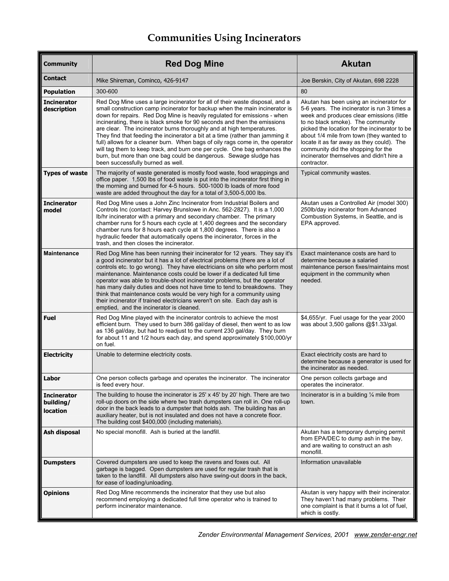# **Communities Using Incinerators**

| <b>Community</b>                            | <b>Red Dog Mine</b>                                                                                                                                                                                                                                                                                                                                                                                                                                                                                                                                                                                                                                                                                                                                    | <b>Akutan</b>                                                                                                                                                                                                                                                                                                                                                                                                        |
|---------------------------------------------|--------------------------------------------------------------------------------------------------------------------------------------------------------------------------------------------------------------------------------------------------------------------------------------------------------------------------------------------------------------------------------------------------------------------------------------------------------------------------------------------------------------------------------------------------------------------------------------------------------------------------------------------------------------------------------------------------------------------------------------------------------|----------------------------------------------------------------------------------------------------------------------------------------------------------------------------------------------------------------------------------------------------------------------------------------------------------------------------------------------------------------------------------------------------------------------|
| <b>Contact</b>                              | Mike Shireman, Cominco, 426-9147                                                                                                                                                                                                                                                                                                                                                                                                                                                                                                                                                                                                                                                                                                                       | Joe Berskin, City of Akutan, 698 2228                                                                                                                                                                                                                                                                                                                                                                                |
| <b>Population</b>                           | 300-600                                                                                                                                                                                                                                                                                                                                                                                                                                                                                                                                                                                                                                                                                                                                                | 80                                                                                                                                                                                                                                                                                                                                                                                                                   |
| <b>Incinerator</b><br>description           | Red Dog Mine uses a large incinerator for all of their waste disposal, and a<br>small construction camp incinerator for backup when the main incinerator is<br>down for repairs. Red Dog Mine is heavily regulated for emissions - when<br>incinerating, there is black smoke for 90 seconds and then the emissions<br>are clear. The incinerator burns thoroughly and at high temperatures.<br>They find that feeding the incinerator a bit at a time (rather than jamming it<br>full) allows for a cleaner burn. When bags of oily rags come in, the operator<br>will tag them to keep track, and burn one per cycle. One bag enhances the<br>burn, but more than one bag could be dangerous. Sewage sludge has<br>been successfully burned as well. | Akutan has been using an incinerator for<br>5-6 years. The incinerator is run 3 times a<br>week and produces clear emissions (little<br>to no black smoke). The community<br>picked the location for the incinerator to be<br>about 1/4 mile from town (they wanted to<br>locate it as far away as they could). The<br>community did the shopping for the<br>incinerator themselves and didn't hire a<br>contractor. |
| <b>Types of waste</b>                       | The majority of waste generated is mostly food waste, food wrappings and<br>office paper. 1,500 lbs of food waste is put into the incinerator first thing in<br>the morning and burned for 4-5 hours. 500-1000 lb loads of more food<br>waste are added throughout the day for a total of 3,500-5,000 lbs.                                                                                                                                                                                                                                                                                                                                                                                                                                             | Typical community wastes.                                                                                                                                                                                                                                                                                                                                                                                            |
| <b>Incinerator</b><br>model                 | Red Dog Mine uses a John Zinc Incinerator from Industrial Boilers and<br>Controls Inc (contact: Harvey Brunslowe in Anc. 562-2827). It is a 1,000<br>Ib/hr incinerator with a primary and secondary chamber. The primary<br>chamber runs for 5 hours each cycle at 1,400 degrees and the secondary<br>chamber runs for 8 hours each cycle at 1,800 degrees. There is also a<br>hydraulic feeder that automatically opens the incinerator, forces in the<br>trash, and then closes the incinerator.                                                                                                                                                                                                                                                     | Akutan uses a Controlled Air (model 300)<br>250lb/day incinerator from Advanced<br>Combustion Systems, in Seattle, and is<br>EPA approved.                                                                                                                                                                                                                                                                           |
| <b>Maintenance</b>                          | Red Dog Mine has been running their incinerator for 12 years. They say it's<br>a good incinerator but it has a lot of electrical problems (there are a lot of<br>controls etc. to go wrong). They have electricians on site who perform most<br>maintenance. Maintenance costs could be lower if a dedicated full time<br>operator was able to trouble-shoot incinerator problems, but the operator<br>has many daily duties and does not have time to tend to breakdowns. They<br>think that maintenance costs would be very high for a community using<br>their incinerator if trained electricians weren't on site. Each day ash is<br>emptied, and the incinerator is cleaned.                                                                     | Exact maintenance costs are hard to<br>determine because a salaried<br>maintenance person fixes/maintains most<br>equipment in the community when<br>needed.                                                                                                                                                                                                                                                         |
| <b>Fuel</b>                                 | Red Dog Mine played with the incinerator controls to achieve the most<br>efficient burn. They used to burn 386 gal/day of diesel, then went to as low<br>as 136 gal/day, but had to readjust to the current 230 gal/day. They burn<br>for about 11 and 1/2 hours each day, and spend approximately \$100,000/yr<br>on fuel.                                                                                                                                                                                                                                                                                                                                                                                                                            | \$4,655/yr. Fuel usage for the year 2000<br>was about 3,500 gallons @\$1.33/gal.                                                                                                                                                                                                                                                                                                                                     |
| <b>Electricity</b>                          | Unable to determine electricity costs.                                                                                                                                                                                                                                                                                                                                                                                                                                                                                                                                                                                                                                                                                                                 | Exact electricity costs are hard to<br>determine because a generator is used for<br>the incinerator as needed.                                                                                                                                                                                                                                                                                                       |
| Labor                                       | One person collects garbage and operates the incinerator. The incinerator<br>is feed every hour.                                                                                                                                                                                                                                                                                                                                                                                                                                                                                                                                                                                                                                                       | One person collects garbage and<br>operates the incinerator.                                                                                                                                                                                                                                                                                                                                                         |
| <b>Incinerator</b><br>building/<br>location | The building to house the incinerator is 25' x 45' by 20' high. There are two<br>roll-up doors on the side where two trash dumpsters can roll in. One roll-up<br>door in the back leads to a dumpster that holds ash. The building has an<br>auxiliary heater, but is not insulated and does not have a concrete floor.<br>The building cost \$400,000 (including materials).                                                                                                                                                                                                                                                                                                                                                                          | Incinerator is in a building $\frac{1}{4}$ mile from<br>town.                                                                                                                                                                                                                                                                                                                                                        |
| Ash disposal                                | No special monofill. Ash is buried at the landfill.                                                                                                                                                                                                                                                                                                                                                                                                                                                                                                                                                                                                                                                                                                    | Akutan has a temporary dumping permit<br>from EPA/DEC to dump ash in the bay,<br>and are waiting to construct an ash<br>monofill.                                                                                                                                                                                                                                                                                    |
| <b>Dumpsters</b>                            | Covered dumpsters are used to keep the ravens and foxes out. All<br>garbage is bagged. Open dumpsters are used for regular trash that is<br>taken to the landfill. All dumpsters also have swing-out doors in the back,<br>for ease of loading/unloading.                                                                                                                                                                                                                                                                                                                                                                                                                                                                                              | Information unavailable                                                                                                                                                                                                                                                                                                                                                                                              |
| <b>Opinions</b>                             | Red Dog Mine recommends the incinerator that they use but also<br>recommend employing a dedicated full time operator who is trained to<br>perform incinerator maintenance.                                                                                                                                                                                                                                                                                                                                                                                                                                                                                                                                                                             | Akutan is very happy with their incinerator.<br>They haven't had many problems. Their<br>one complaint is that it burns a lot of fuel,<br>which is costly.                                                                                                                                                                                                                                                           |